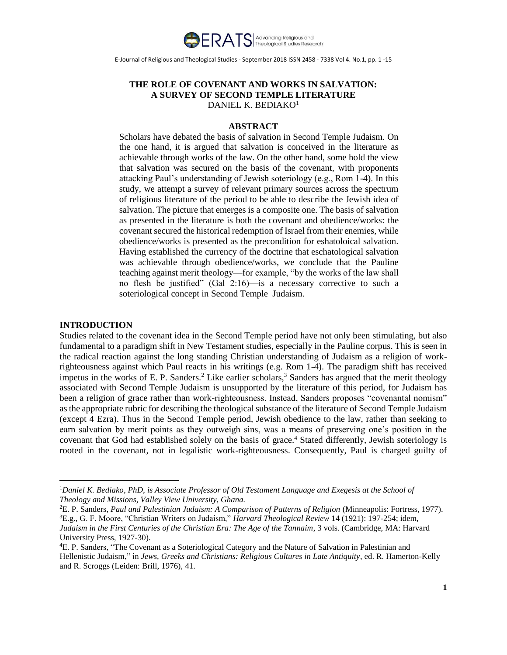

# **THE ROLE OF COVENANT AND WORKS IN SALVATION: A SURVEY OF SECOND TEMPLE LITERATURE** DANIEL K. BEDIAKO<sup>1</sup>

## **ABSTRACT**

Scholars have debated the basis of salvation in Second Temple Judaism. On the one hand, it is argued that salvation is conceived in the literature as achievable through works of the law. On the other hand, some hold the view that salvation was secured on the basis of the covenant, with proponents attacking Paul's understanding of Jewish soteriology (e.g., Rom 1-4). In this study, we attempt a survey of relevant primary sources across the spectrum of religious literature of the period to be able to describe the Jewish idea of salvation. The picture that emerges is a composite one. The basis of salvation as presented in the literature is both the covenant and obedience/works: the covenant secured the historical redemption of Israel from their enemies, while obedience/works is presented as the precondition for eshatoloical salvation. Having established the currency of the doctrine that eschatological salvation was achievable through obedience/works, we conclude that the Pauline teaching against merit theology—for example, "by the works of the law shall no flesh be justified" (Gal 2:16)—is a necessary corrective to such a soteriological concept in Second Temple Judaism.

## **INTRODUCTION**

 $\overline{a}$ 

Studies related to the covenant idea in the Second Temple period have not only been stimulating, but also fundamental to a paradigm shift in New Testament studies, especially in the Pauline corpus. This is seen in the radical reaction against the long standing Christian understanding of Judaism as a religion of workrighteousness against which Paul reacts in his writings (e.g. Rom 1-4). The paradigm shift has received impetus in the works of E. P. Sanders.<sup>2</sup> Like earlier scholars,<sup>3</sup> Sanders has argued that the merit theology associated with Second Temple Judaism is unsupported by the literature of this period, for Judaism has been a religion of grace rather than work-righteousness. Instead, Sanders proposes "covenantal nomism" as the appropriate rubric for describing the theological substance of the literature of Second Temple Judaism (except 4 Ezra). Thus in the Second Temple period, Jewish obedience to the law, rather than seeking to earn salvation by merit points as they outweigh sins, was a means of preserving one's position in the covenant that God had established solely on the basis of grace.<sup>4</sup> Stated differently, Jewish soteriology is rooted in the covenant, not in legalistic work-righteousness. Consequently, Paul is charged guilty of

<sup>1</sup>*Daniel K. Bediako, PhD, is Associate Professor of Old Testament Language and Exegesis at the School of Theology and Missions, Valley View University, Ghana.*

<sup>2</sup>E. P. Sanders, *Paul and Palestinian Judaism: A Comparison of Patterns of Religion* (Minneapolis: Fortress, 1977). <sup>3</sup>E.g., G. F. Moore, "Christian Writers on Judaism," *Harvard Theological Review* 14 (1921): 197-254; idem, *Judaism in the First Centuries of the Christian Era: The Age of the Tannaim*, 3 vols. (Cambridge, MA: Harvard University Press, 1927-30).

<sup>4</sup>E. P. Sanders, "The Covenant as a Soteriological Category and the Nature of Salvation in Palestinian and Hellenistic Judaism," in *Jews, Greeks and Christians: Religious Cultures in Late Antiquity*, ed. R. Hamerton-Kelly and R. Scroggs (Leiden: Brill, 1976), 41.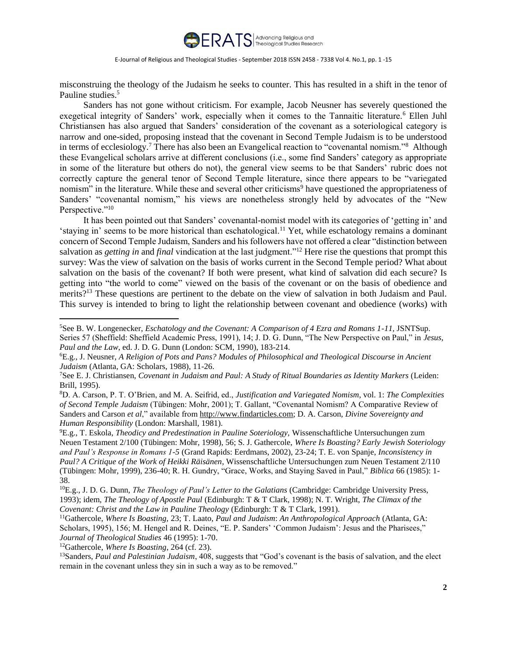

misconstruing the theology of the Judaism he seeks to counter. This has resulted in a shift in the tenor of Pauline studies.<sup>5</sup>

Sanders has not gone without criticism. For example, Jacob Neusner has severely questioned the exegetical integrity of Sanders' work, especially when it comes to the Tannaitic literature.<sup>6</sup> Ellen Juhl Christiansen has also argued that Sanders' consideration of the covenant as a soteriological category is narrow and one-sided, proposing instead that the covenant in Second Temple Judaism is to be understood in terms of ecclesiology.<sup>7</sup> There has also been an Evangelical reaction to "covenantal nomism."<sup>8</sup> Although these Evangelical scholars arrive at different conclusions (i.e., some find Sanders' category as appropriate in some of the literature but others do not), the general view seems to be that Sanders' rubric does not correctly capture the general tenor of Second Temple literature, since there appears to be "variegated nomism" in the literature. While these and several other criticisms<sup>9</sup> have questioned the appropriateness of Sanders' "covenantal nomism," his views are nonetheless strongly held by advocates of the "New Perspective."<sup>10</sup>

It has been pointed out that Sanders' covenantal-nomist model with its categories of 'getting in' and 'staying in' seems to be more historical than eschatological.<sup>11</sup> Yet, while eschatology remains a dominant concern of Second Temple Judaism, Sanders and his followers have not offered a clear "distinction between salvation as *getting in* and *final* vindication at the last judgment."<sup>12</sup> Here rise the questions that prompt this survey: Was the view of salvation on the basis of works current in the Second Temple period? What about salvation on the basis of the covenant? If both were present, what kind of salvation did each secure? Is getting into "the world to come" viewed on the basis of the covenant or on the basis of obedience and merits?<sup>13</sup> These questions are pertinent to the debate on the view of salvation in both Judaism and Paul. This survey is intended to bring to light the relationship between covenant and obedience (works) with

<sup>9</sup>E.g., T. Eskola, *Theodicy and Predestination in Pauline Soteriology,* Wissenschaftliche Untersuchungen zum Neuen Testament 2/100 (Tübingen: Mohr, 1998), 56; S. J. Gathercole, *Where Is Boasting? Early Jewish Soteriology and Paul's Response in Romans 1-5* (Grand Rapids: Eerdmans, 2002), 23-24; T. E. von Spanje, *Inconsistency in Paul? A Critique of the Work of Heikki Räisänen*, Wissenschaftliche Untersuchungen zum Neuen Testament 2/110 (Tübingen: Mohr, 1999), 236-40; R. H. Gundry, "Grace, Works, and Staying Saved in Paul," *Biblica* 66 (1985): 1- 38.

<sup>5</sup>See B. W. Longenecker, *Eschatology and the Covenant: A Comparison of 4 Ezra and Romans 1-11,* JSNTSup. Series 57 (Sheffield: Sheffield Academic Press, 1991), 14; J. D. G. Dunn, "The New Perspective on Paul," in *Jesus, Paul and the Law*, ed. J. D. G. Dunn (London: SCM, 1990), 183-214.

<sup>6</sup>E.g., J. Neusner, *A Religion of Pots and Pans? Modules of Philosophical and Theological Discourse in Ancient Judaism* (Atlanta, GA: Scholars, 1988), 11-26.

<sup>7</sup>See E. J. Christiansen, *Covenant in Judaism and Paul: A Study of Ritual Boundaries as Identity Markers* (Leiden: Brill, 1995).

<sup>8</sup>D. A. Carson, P. T. O'Brien, and M. A. Seifrid, ed., *Justification and Variegated Nomism*, vol. 1: *The Complexities of Second Temple Judaism* (Tübingen: Mohr, 2001); T. Gallant, "Covenantal Nomism? A Comparative Review of Sanders and Carson *et al*," available from http://www.findarticles.com; D. A. Carson, *Divine Sovereignty and Human Responsibility* (London: Marshall, 1981).

<sup>10</sup>E.g., J. D. G. Dunn, *The Theology of Paul's Letter to the Galatians* (Cambridge: Cambridge University Press, 1993); idem, *The Theology of Apostle Paul* (Edinburgh: T & T Clark, 1998); N. T. Wright, *The Climax of the Covenant: Christ and the Law in Pauline Theology* (Edinburgh: T & T Clark, 1991).

<sup>11</sup>Gathercole, *Where Is Boasting,* 23; T. Laato, *Paul and Judaism*: *An Anthropological Approach* (Atlanta, GA: Scholars, 1995), 156; M. Hengel and R. Deines, "E. P. Sanders' 'Common Judaism': Jesus and the Pharisees," *Journal of Theological Studies* 46 (1995): 1-70.

<sup>12</sup>Gathercole, *Where Is Boasting*, 264 (cf. 23).

<sup>13</sup>Sanders, *Paul and Palestinian Judaism*, 408, suggests that "God's covenant is the basis of salvation, and the elect remain in the covenant unless they sin in such a way as to be removed."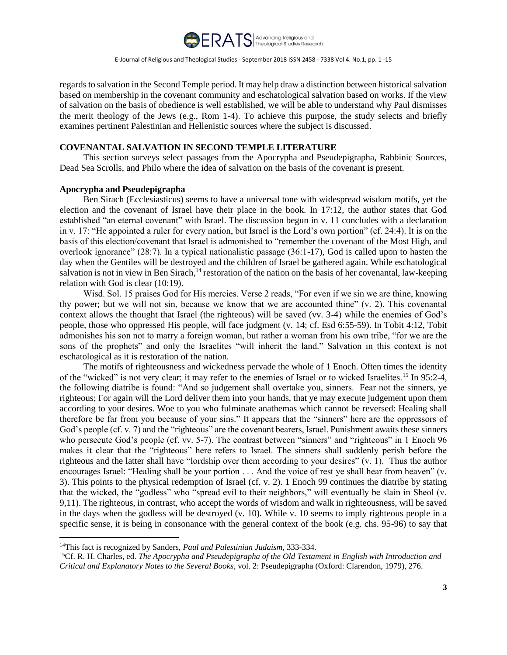

regards to salvation in the Second Temple period. It may help draw a distinction between historical salvation based on membership in the covenant community and eschatological salvation based on works. If the view of salvation on the basis of obedience is well established, we will be able to understand why Paul dismisses the merit theology of the Jews (e.g., Rom 1-4). To achieve this purpose, the study selects and briefly examines pertinent Palestinian and Hellenistic sources where the subject is discussed.

# **COVENANTAL SALVATION IN SECOND TEMPLE LITERATURE**

This section surveys select passages from the Apocrypha and Pseudepigrapha, Rabbinic Sources, Dead Sea Scrolls, and Philo where the idea of salvation on the basis of the covenant is present.

## **Apocrypha and Pseudepigrapha**

Ben Sirach (Ecclesiasticus) seems to have a universal tone with widespread wisdom motifs, yet the election and the covenant of Israel have their place in the book. In 17:12, the author states that God established "an eternal covenant" with Israel. The discussion begun in v. 11 concludes with a declaration in v. 17: "He appointed a ruler for every nation, but Israel is the Lord's own portion" (cf. 24:4). It is on the basis of this election/covenant that Israel is admonished to "remember the covenant of the Most High, and overlook ignorance" (28:7). In a typical nationalistic passage (36:1-17), God is called upon to hasten the day when the Gentiles will be destroyed and the children of Israel be gathered again. While eschatological salvation is not in view in Ben Sirach,<sup>14</sup> restoration of the nation on the basis of her covenantal, law-keeping relation with God is clear (10:19).

Wisd. Sol. 15 praises God for His mercies. Verse 2 reads, "For even if we sin we are thine, knowing thy power; but we will not sin, because we know that we are accounted thine" (v. 2). This covenantal context allows the thought that Israel (the righteous) will be saved (vv. 3-4) while the enemies of God's people, those who oppressed His people, will face judgment (v. 14; cf. Esd 6:55-59). In Tobit 4:12, Tobit admonishes his son not to marry a foreign woman, but rather a woman from his own tribe, "for we are the sons of the prophets" and only the Israelites "will inherit the land." Salvation in this context is not eschatological as it is restoration of the nation.

The motifs of righteousness and wickedness pervade the whole of 1 Enoch. Often times the identity of the "wicked" is not very clear; it may refer to the enemies of Israel or to wicked Israelites.<sup>15</sup> In 95:2-4, the following diatribe is found: "And so judgement shall overtake you, sinners. Fear not the sinners, ye righteous; For again will the Lord deliver them into your hands, that ye may execute judgement upon them according to your desires. Woe to you who fulminate anathemas which cannot be reversed: Healing shall therefore be far from you because of your sins." It appears that the "sinners" here are the oppressors of God's people (cf. v. 7) and the "righteous" are the covenant bearers, Israel. Punishment awaits these sinners who persecute God's people (cf. vv. 5-7). The contrast between "sinners" and "righteous" in 1 Enoch 96 makes it clear that the "righteous" here refers to Israel. The sinners shall suddenly perish before the righteous and the latter shall have "lordship over them according to your desires" (v. 1). Thus the author encourages Israel: "Healing shall be your portion . . . And the voice of rest ye shall hear from heaven" (v. 3). This points to the physical redemption of Israel (cf. v. 2). 1 Enoch 99 continues the diatribe by stating that the wicked, the "godless" who "spread evil to their neighbors," will eventually be slain in Sheol (v. 9,11). The righteous, in contrast, who accept the words of wisdom and walk in righteousness, will be saved in the days when the godless will be destroyed (v. 10). While v. 10 seems to imply righteous people in a specific sense, it is being in consonance with the general context of the book (e.g. chs. 95-96) to say that

<sup>14</sup>This fact is recognized by Sanders, *Paul and Palestinian Judaism*, 333-334.

<sup>15</sup>Cf. R. H. Charles, ed. *The Apocrypha and Pseudepigrapha of the Old Testament in English with Introduction and Critical and Explanatory Notes to the Several Books*, vol. 2: Pseudepigrapha (Oxford: Clarendon, 1979), 276.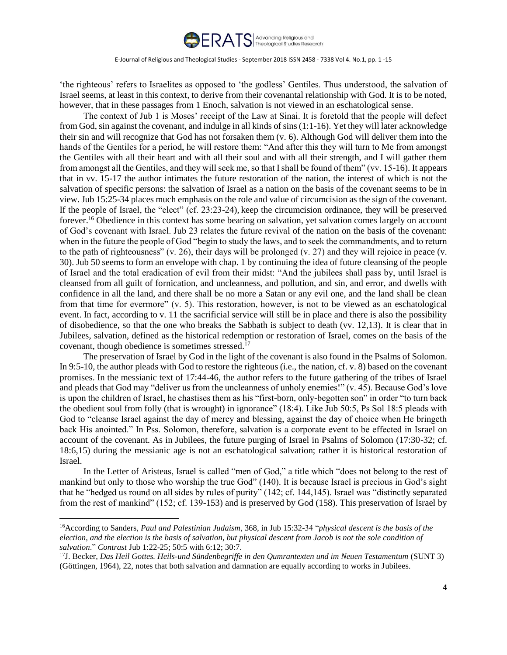

'the righteous' refers to Israelites as opposed to 'the godless' Gentiles. Thus understood, the salvation of Israel seems, at least in this context, to derive from their covenantal relationship with God. It is to be noted, however, that in these passages from 1 Enoch, salvation is not viewed in an eschatological sense.

The context of Jub 1 is Moses' receipt of the Law at Sinai. It is foretold that the people will defect from God, sin against the covenant, and indulge in all kinds of sins (1:1-16). Yet they will later acknowledge their sin and will recognize that God has not forsaken them (v. 6). Although God will deliver them into the hands of the Gentiles for a period, he will restore them: "And after this they will turn to Me from amongst the Gentiles with all their heart and with all their soul and with all their strength, and I will gather them from amongst all the Gentiles, and they will seek me, so that I shall be found of them" (vv. 15-16). It appears that in vv. 15-17 the author intimates the future restoration of the nation, the interest of which is not the salvation of specific persons: the salvation of Israel as a nation on the basis of the covenant seems to be in view. Jub 15:25-34 places much emphasis on the role and value of circumcision as the sign of the covenant. If the people of Israel, the "elect" (cf. 23:23-24), keep the circumcision ordinance, they will be preserved forever.<sup>16</sup> Obedience in this context has some bearing on salvation, yet salvation comes largely on account of God's covenant with Israel. Jub 23 relates the future revival of the nation on the basis of the covenant: when in the future the people of God "begin to study the laws, and to seek the commandments, and to return to the path of righteousness" (v. 26), their days will be prolonged (v. 27) and they will rejoice in peace (v. 30). Jub 50 seems to form an envelope with chap. 1 by continuing the idea of future cleansing of the people of Israel and the total eradication of evil from their midst: "And the jubilees shall pass by, until Israel is cleansed from all guilt of fornication, and uncleanness, and pollution, and sin, and error, and dwells with confidence in all the land, and there shall be no more a Satan or any evil one, and the land shall be clean from that time for evermore" (v. 5). This restoration, however, is not to be viewed as an eschatological event. In fact, according to v. 11 the sacrificial service will still be in place and there is also the possibility of disobedience, so that the one who breaks the Sabbath is subject to death (vv. 12,13). It is clear that in Jubilees, salvation, defined as the historical redemption or restoration of Israel, comes on the basis of the covenant, though obedience is sometimes stressed.<sup>17</sup>

The preservation of Israel by God in the light of the covenant is also found in the Psalms of Solomon. In 9:5-10, the author pleads with God to restore the righteous (i.e., the nation, cf. v. 8) based on the covenant promises. In the messianic text of 17:44-46, the author refers to the future gathering of the tribes of Israel and pleads that God may "deliver us from the uncleanness of unholy enemies!" (v. 45). Because God's love is upon the children of Israel, he chastises them as his "first-born, only-begotten son" in order "to turn back the obedient soul from folly (that is wrought) in ignorance" (18:4). Like Jub 50:5, Ps Sol 18:5 pleads with God to "cleanse Israel against the day of mercy and blessing, against the day of choice when He bringeth back His anointed." In Pss. Solomon, therefore, salvation is a corporate event to be effected in Israel on account of the covenant. As in Jubilees, the future purging of Israel in Psalms of Solomon (17:30-32; cf. 18:6,15) during the messianic age is not an eschatological salvation; rather it is historical restoration of Israel.

In the Letter of Aristeas, Israel is called "men of God," a title which "does not belong to the rest of mankind but only to those who worship the true God" (140). It is because Israel is precious in God's sight that he "hedged us round on all sides by rules of purity" (142; cf. 144,145). Israel was "distinctly separated from the rest of mankind" (152; cf. 139-153) and is preserved by God (158). This preservation of Israel by

<sup>16</sup>According to Sanders, *Paul and Palestinian Judaism*, 368, in Jub 15:32-34 "*physical descent is the basis of the election, and the election is the basis of salvation, but physical descent from Jacob is not the sole condition of salvation*." *Contrast* Jub 1:22-25; 50:5 with 6:12; 30:7.

<sup>17</sup>J. Becker, *Das Heil Gottes. Heils-und Sündenbegriffe in den Qumrantexten und im Neuen Testamentum* (SUNT 3) (Göttingen, 1964), 22, notes that both salvation and damnation are equally according to works in Jubilees.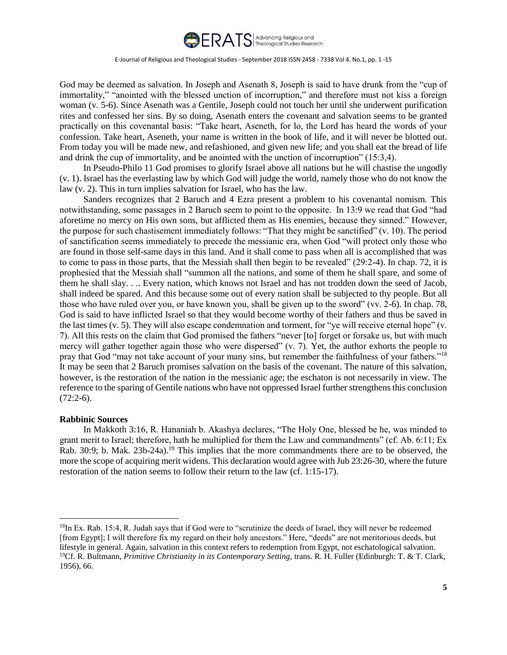

God may be deemed as salvation. In Joseph and Asenath 8, Joseph is said to have drunk from the "cup of immortality," "anointed with the blessed unction of incorruption," and therefore must not kiss a foreign woman (v. 5-6). Since Asenath was a Gentile, Joseph could not touch her until she underwent purification rites and confessed her sins. By so doing, Asenath enters the covenant and salvation seems to be granted practically on this covenantal basis: "Take heart, Aseneth, for lo, the Lord has heard the words of your confession. Take heart, Aseneth, your name is written in the book of life, and it will never be blotted out. From today you will be made new, and refashioned, and given new life; and you shall eat the bread of life and drink the cup of immortality, and be anointed with the unction of incorruption" (15:3,4).

In Pseudo-Philo 11 God promises to glorify Israel above all nations but he will chastise the ungodly (v. 1). Israel has the everlasting law by which God will judge the world, namely those who do not know the law (v. 2). This in turn implies salvation for Israel, who has the law.

Sanders recognizes that 2 Baruch and 4 Ezra present a problem to his covenantal nomism. This notwithstanding, some passages in 2 Baruch seem to point to the opposite. In 13:9 we read that God "had aforetime no mercy on His own sons, but afflicted them as His enemies, because they sinned." However, the purpose for such chastisement immediately follows: "That they might be sanctified" (v. 10). The period of sanctification seems immediately to precede the messianic era, when God "will protect only those who are found in those self-same days in this land. And it shall come to pass when all is accomplished that was to come to pass in those parts, that the Messiah shall then begin to be revealed" (29:2-4). In chap. 72, it is prophesied that the Messiah shall "summon all the nations, and some of them he shall spare, and some of them he shall slay. . .. Every nation, which knows not Israel and has not trodden down the seed of Jacob, shall indeed be spared. And this because some out of every nation shall be subjected to thy people. But all those who have ruled over you, or have known you, shall be given up to the sword" (vv. 2-6). In chap. 78, God is said to have inflicted Israel so that they would become worthy of their fathers and thus be saved in the last times (v. 5). They will also escape condemnation and torment, for "ye will receive eternal hope" (v. 7). All this rests on the claim that God promised the fathers "never [to] forget or forsake us, but with much mercy will gather together again those who were dispersed" (v. 7). Yet, the author exhorts the people to pray that God "may not take account of your many sins, but remember the faithfulness of your fathers."<sup>18</sup> It may be seen that 2 Baruch promises salvation on the basis of the covenant. The nature of this salvation, however, is the restoration of the nation in the messianic age; the eschaton is not necessarily in view. The reference to the sparing of Gentile nations who have not oppressed Israel further strengthens this conclusion  $(72:2-6)$ .

# **Rabbinic Sources**

 $\overline{a}$ 

In Makkoth 3:16, R. Hananiah b. Akashya declares, "The Holy One, blessed be he, was minded to grant merit to Israel; therefore, hath he multiplied for them the Law and commandments" (cf. Ab. 6:11; Ex Rab. 30:9; b. Mak. 23b-24a).<sup>19</sup> This implies that the more commandments there are to be observed, the more the scope of acquiring merit widens. This declaration would agree with Jub 23:26-30, where the future restoration of the nation seems to follow their return to the law (cf. 1:15-17).

<sup>&</sup>lt;sup>18</sup>In Ex. Rab. 15:4, R. Judah says that if God were to "scrutinize the deeds of Israel, they will never be redeemed [from Egypt]; I will therefore fix my regard on their holy ancestors." Here, "deeds" are not meritorious deeds, but lifestyle in general. Again, salvation in this context refers to redemption from Egypt, not eschatological salvation. <sup>19</sup>Cf. R. Bultmann, *Primitive Christianity in its Contemporary Setting*, trans. R. H. Fuller (Edinburgh: T. & T. Clark, 1956), 66.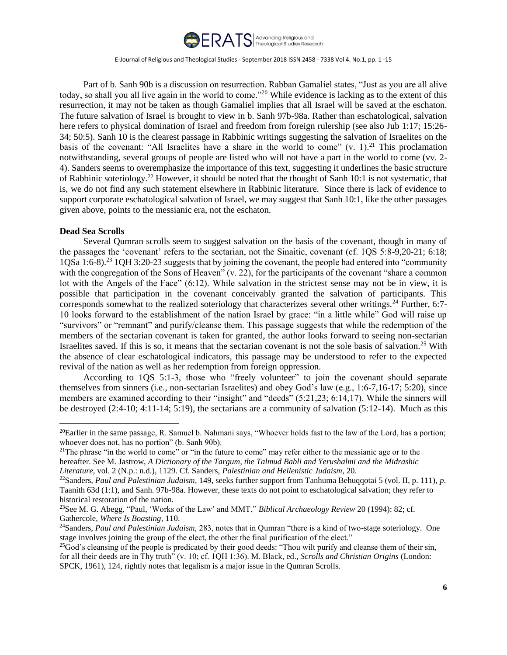

Part of b. Sanh 90b is a discussion on resurrection. Rabban Gamaliel states, "Just as you are all alive today, so shall you all live again in the world to come."<sup>20</sup> While evidence is lacking as to the extent of this resurrection, it may not be taken as though Gamaliel implies that all Israel will be saved at the eschaton. The future salvation of Israel is brought to view in b. Sanh 97b-98a. Rather than eschatological, salvation here refers to physical domination of Israel and freedom from foreign rulership (see also Jub 1:17; 15:26-34; 50:5). Sanh 10 is the clearest passage in Rabbinic writings suggesting the salvation of Israelites on the basis of the covenant: "All Israelites have a share in the world to come"  $(v, 1)$ .<sup>21</sup> This proclamation notwithstanding, several groups of people are listed who will not have a part in the world to come (vv. 2- 4). Sanders seems to overemphasize the importance of this text, suggesting it underlines the basic structure of Rabbinic soteriology.<sup>22</sup> However, it should be noted that the thought of Sanh 10:1 is not systematic, that is, we do not find any such statement elsewhere in Rabbinic literature. Since there is lack of evidence to support corporate eschatological salvation of Israel, we may suggest that Sanh 10:1, like the other passages given above, points to the messianic era, not the eschaton.

## **Dead Sea Scrolls**

 $\overline{a}$ 

Several Qumran scrolls seem to suggest salvation on the basis of the covenant, though in many of the passages the 'covenant' refers to the sectarian, not the Sinaitic, covenant (cf. 1QS 5:8-9,20-21; 6:18; 1QSa 1:6-8).<sup>23</sup> 1QH 3:20-23 suggests that by joining the covenant, the people had entered into "community with the congregation of the Sons of Heaven" (v. 22), for the participants of the covenant "share a common lot with the Angels of the Face" (6:12). While salvation in the strictest sense may not be in view, it is possible that participation in the covenant conceivably granted the salvation of participants. This corresponds somewhat to the realized soteriology that characterizes several other writings.<sup>24</sup> Further, 6:7- 10 looks forward to the establishment of the nation Israel by grace: "in a little while" God will raise up "survivors" or "remnant" and purify/cleanse them. This passage suggests that while the redemption of the members of the sectarian covenant is taken for granted, the author looks forward to seeing non-sectarian Israelites saved. If this is so, it means that the sectarian covenant is not the sole basis of salvation.<sup>25</sup> With the absence of clear eschatological indicators, this passage may be understood to refer to the expected revival of the nation as well as her redemption from foreign oppression.

According to 1QS 5:1-3, those who "freely volunteer" to join the covenant should separate themselves from sinners (i.e., non-sectarian Israelites) and obey God's law (e.g., 1:6-7,16-17; 5:20), since members are examined according to their "insight" and "deeds" (5:21,23; 6:14,17). While the sinners will be destroyed (2:4-10; 4:11-14; 5:19), the sectarians are a community of salvation (5:12-14). Much as this

 $^{20}$ Earlier in the same passage, R. Samuel b. Nahmani says, "Whoever holds fast to the law of the Lord, has a portion; whoever does not, has no portion" (b. Sanh 90b).

<sup>&</sup>lt;sup>21</sup>The phrase "in the world to come" or "in the future to come" may refer either to the messianic age or to the hereafter. See M. Jastrow, *A Dictionary of the Targum, the Talmud Babli and Yerushalmi and the Midrashic Literature*, vol. 2 (N.p.: n.d.), 1129. Cf. Sanders, *Palestinian and Hellenistic Judaism*, 20.

<sup>22</sup>Sanders, *Paul and Palestinian Judaism*, 149, seeks further support from Tanhuma Behuqqotai 5 (vol. II, p. 111), *p*. Taanith 63d (1:1), and Sanh. 97b-98a. However, these texts do not point to eschatological salvation; they refer to historical restoration of the nation.

<sup>23</sup>See M. G. Abegg, "Paul, 'Works of the Law' and MMT," *Biblical Archaeology Review* 20 (1994): 82; cf. Gathercole, *Where Is Boasting*, 110.

<sup>24</sup>Sanders, *Paul and Palestinian Judaism,* 283, notes that in Qumran "there is a kind of two-stage soteriology. One stage involves joining the group of the elect, the other the final purification of the elect."

<sup>&</sup>lt;sup>25</sup>God's cleansing of the people is predicated by their good deeds: "Thou wilt purify and cleanse them of their sin, for all their deeds are in Thy truth" (v. 10; cf. 1QH 1:36). M. Black, ed., *Scrolls and Christian Origins* (London: SPCK, 1961), 124, rightly notes that legalism is a major issue in the Qumran Scrolls.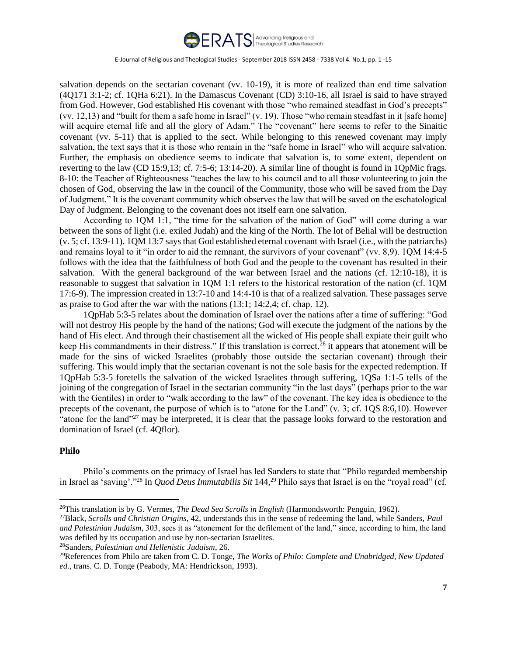

salvation depends on the sectarian covenant (vv. 10-19), it is more of realized than end time salvation (4Q171 3:1-2; cf. 1QHa 6:21). In the Damascus Covenant (CD) 3:10-16, all Israel is said to have strayed from God. However, God established His covenant with those "who remained steadfast in God's precepts" (vv. 12,13) and "built for them a safe home in Israel" (v. 19). Those "who remain steadfast in it [safe home] will acquire eternal life and all the glory of Adam." The "covenant" here seems to refer to the Sinaitic covenant (vv. 5-11) that is applied to the sect. While belonging to this renewed covenant may imply salvation, the text says that it is those who remain in the "safe home in Israel" who will acquire salvation. Further, the emphasis on obedience seems to indicate that salvation is, to some extent, dependent on reverting to the law (CD 15:9,13; cf. 7:5-6; 13:14-20). A similar line of thought is found in 1QpMic frags. 8-10: the Teacher of Righteousness "teaches the law to his council and to all those volunteering to join the chosen of God, observing the law in the council of the Community, those who will be saved from the Day of Judgment." It is the covenant community which observes the law that will be saved on the eschatological Day of Judgment. Belonging to the covenant does not itself earn one salvation.

According to 1QM 1:1, "the time for the salvation of the nation of God" will come during a war between the sons of light (i.e. exiled Judah) and the king of the North. The lot of Belial will be destruction (v. 5; cf. 13:9-11). 1QM 13:7 says that God established eternal covenant with Israel (i.e., with the patriarchs) and remains loyal to it "in order to aid the remnant, the survivors of your covenant" (vv. 8,9). 1QM 14:4-5 follows with the idea that the faithfulness of both God and the people to the covenant has resulted in their salvation. With the general background of the war between Israel and the nations (cf. 12:10-18), it is reasonable to suggest that salvation in 1QM 1:1 refers to the historical restoration of the nation (cf. 1QM 17:6-9). The impression created in 13:7-10 and 14:4-10 is that of a realized salvation. These passages serve as praise to God after the war with the nations (13:1; 14:2,4; cf. chap. 12).

1QpHab 5:3-5 relates about the domination of Israel over the nations after a time of suffering: "God will not destroy His people by the hand of the nations; God will execute the judgment of the nations by the hand of His elect. And through their chastisement all the wicked of His people shall expiate their guilt who keep His commandments in their distress." If this translation is correct,<sup>26</sup> it appears that atonement will be made for the sins of wicked Israelites (probably those outside the sectarian covenant) through their suffering. This would imply that the sectarian covenant is not the sole basis for the expected redemption. If 1QpHab 5:3-5 foretells the salvation of the wicked Israelites through suffering, 1QSa 1:1-5 tells of the joining of the congregation of Israel in the sectarian community "in the last days" (perhaps prior to the war with the Gentiles) in order to "walk according to the law" of the covenant. The key idea is obedience to the precepts of the covenant, the purpose of which is to "atone for the Land" (v. 3; cf. 1QS 8:6,10). However "atone for the land"<sup>27</sup> may be interpreted, it is clear that the passage looks forward to the restoration and domination of Israel (cf. 4Qflor).

# **Philo**

 $\overline{a}$ 

Philo's comments on the primacy of Israel has led Sanders to state that "Philo regarded membership in Israel as 'saving'."<sup>28</sup> In *Quod Deus Immutabilis Sit* 144,<sup>29</sup> Philo says that Israel is on the "royal road" (cf.

<sup>26</sup>This translation is by G. Vermes, *The Dead Sea Scrolls in English* (Harmondsworth: Penguin, 1962).

<sup>27</sup>Black, *Scrolls and Christian Origins*, 42, understands this in the sense of redeeming the land, while Sanders, *Paul and Palestinian Judaism*, 303, sees it as "atonement for the defilement of the land," since, according to him, the land was defiled by its occupation and use by non-sectarian Israelites.

<sup>28</sup>Sanders, *Palestinian and Hellenistic Judaism*, 26.

<sup>29</sup>References from Philo are taken from C. D. Tonge, *The Works of Philo: Complete and Unabridged, New Updated ed.,* trans. C. D. Tonge (Peabody, MA: Hendrickson, 1993).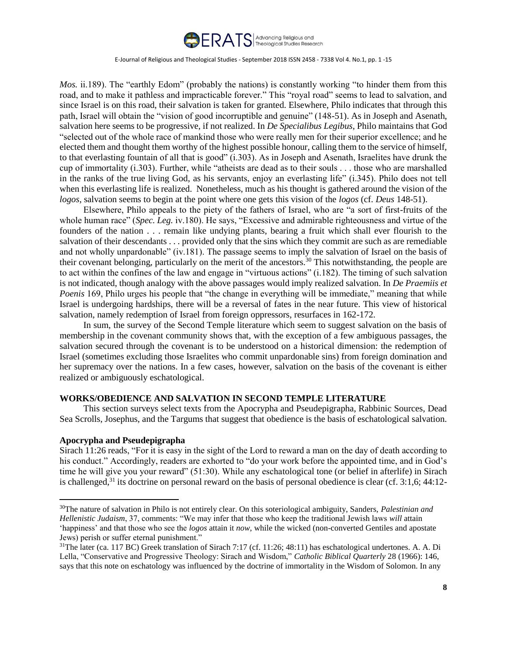

*Mos.* ii.189). The "earthly Edom" (probably the nations) is constantly working "to hinder them from this road, and to make it pathless and impracticable forever." This "royal road" seems to lead to salvation, and since Israel is on this road, their salvation is taken for granted. Elsewhere, Philo indicates that through this path, Israel will obtain the "vision of good incorruptible and genuine" (148-51). As in Joseph and Asenath, salvation here seems to be progressive, if not realized. In *De Specialibus Legibus*, Philo maintains that God "selected out of the whole race of mankind those who were really men for their superior excellence; and he elected them and thought them worthy of the highest possible honour, calling them to the service of himself, to that everlasting fountain of all that is good" (i.303). As in Joseph and Asenath, Israelites have drunk the cup of immortality (i.303). Further, while "atheists are dead as to their souls . . . those who are marshalled in the ranks of the true living God, as his servants, enjoy an everlasting life" (i.345). Philo does not tell when this everlasting life is realized. Nonetheless, much as his thought is gathered around the vision of the *logos*, salvation seems to begin at the point where one gets this vision of the *logos* (cf. *Deus* 148-51).

Elsewhere, Philo appeals to the piety of the fathers of Israel, who are "a sort of first-fruits of the whole human race" (*Spec. Leg.* iv.180). He says, "Excessive and admirable righteousness and virtue of the founders of the nation . . . remain like undying plants, bearing a fruit which shall ever flourish to the salvation of their descendants . . . provided only that the sins which they commit are such as are remediable and not wholly unpardonable" (iv.181). The passage seems to imply the salvation of Israel on the basis of their covenant belonging, particularly on the merit of the ancestors.<sup>30</sup> This notwithstanding, the people are to act within the confines of the law and engage in "virtuous actions" (i.182). The timing of such salvation is not indicated, though analogy with the above passages would imply realized salvation. In *De Praemiis et Poenis* 169, Philo urges his people that "the change in everything will be immediate," meaning that while Israel is undergoing hardships, there will be a reversal of fates in the near future. This view of historical salvation, namely redemption of Israel from foreign oppressors, resurfaces in 162-172.

In sum, the survey of the Second Temple literature which seem to suggest salvation on the basis of membership in the covenant community shows that, with the exception of a few ambiguous passages, the salvation secured through the covenant is to be understood on a historical dimension: the redemption of Israel (sometimes excluding those Israelites who commit unpardonable sins) from foreign domination and her supremacy over the nations. In a few cases, however, salvation on the basis of the covenant is either realized or ambiguously eschatological.

# **WORKS/OBEDIENCE AND SALVATION IN SECOND TEMPLE LITERATURE**

This section surveys select texts from the Apocrypha and Pseudepigrapha, Rabbinic Sources, Dead Sea Scrolls, Josephus, and the Targums that suggest that obedience is the basis of eschatological salvation.

#### **Apocrypha and Pseudepigrapha**

 $\overline{a}$ 

Sirach 11:26 reads, "For it is easy in the sight of the Lord to reward a man on the day of death according to his conduct." Accordingly, readers are exhorted to "do your work before the appointed time, and in God's time he will give you your reward" (51:30). While any eschatological tone (or belief in afterlife) in Sirach is challenged,<sup>31</sup> its doctrine on personal reward on the basis of personal obedience is clear (cf. 3:1,6; 44:12-

<sup>30</sup>The nature of salvation in Philo is not entirely clear. On this soteriological ambiguity, Sanders, *Palestinian and Hellenistic Judaism*, 37, comments: "We may infer that those who keep the traditional Jewish laws *will* attain 'happiness' and that those who see the *logos* attain it *now*, while the wicked (non-converted Gentiles and apostate Jews) perish or suffer eternal punishment."

 $31$ The later (ca. 117 BC) Greek translation of Sirach 7:17 (cf. 11:26; 48:11) has eschatological undertones. A. A. Di Lella, "Conservative and Progressive Theology: Sirach and Wisdom," *Catholic Biblical Quarterly* 28 (1966): 146, says that this note on eschatology was influenced by the doctrine of immortality in the Wisdom of Solomon. In any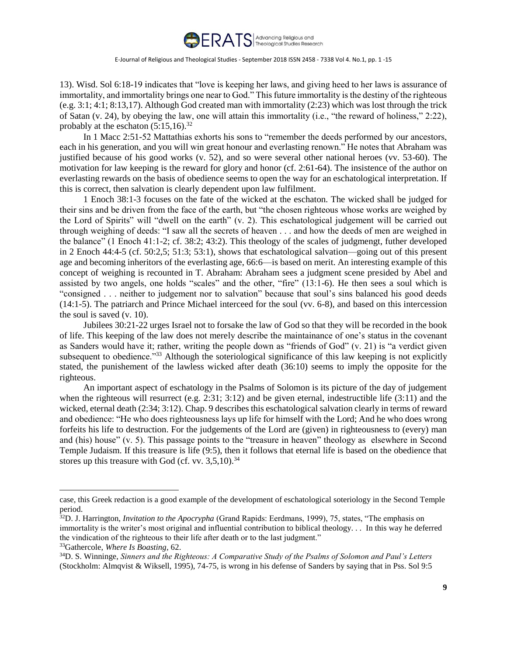

13). Wisd. Sol 6:18-19 indicates that "love is keeping her laws, and giving heed to her laws is assurance of immortality, and immortality brings one near to God." This future immortality is the destiny of the righteous (e.g. 3:1; 4:1; 8:13,17). Although God created man with immortality (2:23) which was lost through the trick of Satan (v. 24), by obeying the law, one will attain this immortality (i.e., "the reward of holiness," 2:22), probably at the eschaton  $(5:15,16).^{32}$ 

In 1 Macc 2:51-52 Mattathias exhorts his sons to "remember the deeds performed by our ancestors, each in his generation, and you will win great honour and everlasting renown." He notes that Abraham was justified because of his good works (v. 52), and so were several other national heroes (vv. 53-60). The motivation for law keeping is the reward for glory and honor (cf. 2:61-64). The insistence of the author on everlasting rewards on the basis of obedience seems to open the way for an eschatological interpretation. If this is correct, then salvation is clearly dependent upon law fulfilment.

1 Enoch 38:1-3 focuses on the fate of the wicked at the eschaton. The wicked shall be judged for their sins and be driven from the face of the earth, but "the chosen righteous whose works are weighed by the Lord of Spirits" will "dwell on the earth" (v. 2). This eschatological judgement will be carried out through weighing of deeds: "I saw all the secrets of heaven . . . and how the deeds of men are weighed in the balance" (1 Enoch 41:1-2; cf. 38:2; 43:2). This theology of the scales of judgmengt, futher developed in 2 Enoch 44:4-5 (cf. 50:2,5; 51:3; 53:1), shows that eschatological salvation—going out of this present age and becoming inheritors of the everlasting age, 66:6—is based on merit. An interesting example of this concept of weighing is recounted in T. Abraham: Abraham sees a judgment scene presided by Abel and assisted by two angels, one holds "scales" and the other, "fire" (13:1-6). He then sees a soul which is "consigned . . . neither to judgement nor to salvation" because that soul's sins balanced his good deeds (14:1-5). The patriarch and Prince Michael interceed for the soul (vv. 6-8), and based on this intercession the soul is saved (v. 10).

Jubilees 30:21-22 urges Israel not to forsake the law of God so that they will be recorded in the book of life. This keeping of the law does not merely describe the maintainance of one's status in the covenant as Sanders would have it; rather, writing the people down as "friends of God" (v. 21) is "a verdict given subsequent to obedience.<sup>33</sup> Although the soteriological significance of this law keeping is not explicitly stated, the punishement of the lawless wicked after death (36:10) seems to imply the opposite for the righteous.

An important aspect of eschatology in the Psalms of Solomon is its picture of the day of judgement when the righteous will resurrect (e.g.  $2:31$ ;  $3:12$ ) and be given eternal, indestructible life (3:11) and the wicked, eternal death (2:34; 3:12). Chap. 9 describes this eschatological salvation clearly in terms of reward and obedience: "He who does righteousness lays up life for himself with the Lord; And he who does wrong forfeits his life to destruction. For the judgements of the Lord are (given) in righteousness to (every) man and (his) house" (v. 5). This passage points to the "treasure in heaven" theology as elsewhere in Second Temple Judaism. If this treasure is life (9:5), then it follows that eternal life is based on the obedience that stores up this treasure with God (cf. vv.  $3,5,10$ ).<sup>34</sup>

case, this Greek redaction is a good example of the development of eschatological soteriology in the Second Temple period.

<sup>32</sup>D. J. Harrington, *Invitation to the Apocrypha* (Grand Rapids: Eerdmans, 1999), 75, states, "The emphasis on immortality is the writer's most original and influential contribution to biblical theology. . . In this way he deferred the vindication of the righteous to their life after death or to the last judgment."

<sup>33</sup>Gathercole, *Where Is Boasting*, 62.

<sup>34</sup>D. S. Winninge, *Sinners and the Righteous: A Comparative Study of the Psalms of Solomon and Paul's Letters* (Stockholm: Almqvist & Wiksell, 1995), 74-75, is wrong in his defense of Sanders by saying that in Pss. Sol 9:5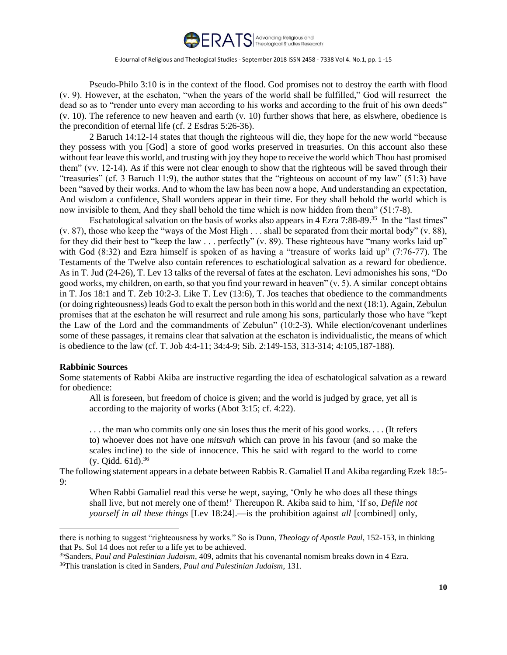

Pseudo-Philo 3:10 is in the context of the flood. God promises not to destroy the earth with flood (v. 9). However, at the eschaton, "when the years of the world shall be fulfilled," God will resurrect the dead so as to "render unto every man according to his works and according to the fruit of his own deeds" (v. 10). The reference to new heaven and earth (v. 10) further shows that here, as elswhere, obedience is the precondition of eternal life (cf. 2 Esdras 5:26-36).

2 Baruch 14:12-14 states that though the righteous will die, they hope for the new world "because they possess with you [God] a store of good works preserved in treasuries. On this account also these without fear leave this world, and trusting with joy they hope to receive the world which Thou hast promised them" (vv. 12-14). As if this were not clear enough to show that the righteous will be saved through their "treasuries" (cf. 3 Baruch 11:9), the author states that the "righteous on account of my law" (51:3) have been "saved by their works. And to whom the law has been now a hope, And understanding an expectation, And wisdom a confidence, Shall wonders appear in their time. For they shall behold the world which is now invisible to them, And they shall behold the time which is now hidden from them" (51:7-8).

Eschatological salvation on the basis of works also appears in 4 Ezra 7:88-89.<sup>35</sup> In the "last times" (v. 87), those who keep the "ways of the Most High . . . shall be separated from their mortal body" (v. 88), for they did their best to "keep the law . . . perfectly" (v. 89). These righteous have "many works laid up" with God (8:32) and Ezra himself is spoken of as having a "treasure of works laid up" (7:76-77). The Testaments of the Twelve also contain references to eschatiological salvation as a reward for obedience. As in T. Jud (24-26), T. Lev 13 talks of the reversal of fates at the eschaton. Levi admonishes his sons, "Do good works, my children, on earth, so that you find your reward in heaven" (v. 5). A similar concept obtains in T. Jos 18:1 and T. Zeb 10:2-3. Like T. Lev (13:6), T. Jos teaches that obedience to the commandments (or doing righteousness) leads God to exalt the person both in this world and the next (18:1). Again, Zebulun promises that at the eschaton he will resurrect and rule among his sons, particularly those who have "kept the Law of the Lord and the commandments of Zebulun" (10:2-3). While election/covenant underlines some of these passages, it remains clear that salvation at the eschaton is individualistic, the means of which is obedience to the law (cf. T. Job 4:4-11; 34:4-9; Sib. 2:149-153, 313-314; 4:105,187-188).

#### **Rabbinic Sources**

 $\overline{a}$ 

Some statements of Rabbi Akiba are instructive regarding the idea of eschatological salvation as a reward for obedience:

All is foreseen, but freedom of choice is given; and the world is judged by grace, yet all is according to the majority of works (Abot 3:15; cf. 4:22).

. . . the man who commits only one sin loses thus the merit of his good works. . . . (It refers to) whoever does not have one *mitsvah* which can prove in his favour (and so make the scales incline) to the side of innocence. This he said with regard to the world to come (y. Qidd. 61d).<sup>36</sup>

The following statement appears in a debate between Rabbis R. Gamaliel II and Akiba regarding Ezek 18:5- 9:

When Rabbi Gamaliel read this verse he wept, saying, 'Only he who does all these things shall live, but not merely one of them!' Thereupon R. Akiba said to him, 'If so, *Defile not yourself in all these things* [Lev 18:24].—is the prohibition against *all* [combined] only,

there is nothing to suggest "righteousness by works." So is Dunn, *Theology of Apostle Paul*, 152-153, in thinking that Ps. Sol 14 does not refer to a life yet to be achieved.

<sup>35</sup>Sanders, *Paul and Palestinian Judaism*, 409, admits that his covenantal nomism breaks down in 4 Ezra. 36This translation is cited in Sanders, *Paul and Palestinian Judaism*, 131.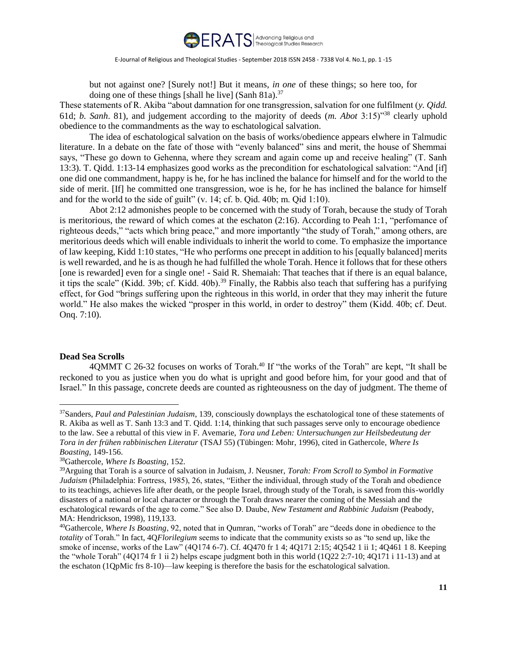

but not against one? [Surely not!] But it means, *in one* of these things; so here too, for doing one of these things [shall he live] (Sanh 81a).<sup>37</sup>

These statements of R. Akiba "about damnation for one transgression, salvation for one fulfilment (*y. Qidd.*  61d; *b. Sanh*. 81), and judgement according to the majority of deeds (*m. Abot* 3:15)"<sup>38</sup> clearly uphold obedience to the commandments as the way to eschatological salvation.

The idea of eschatological salvation on the basis of works/obedience appears elwhere in Talmudic literature. In a debate on the fate of those with "evenly balanced" sins and merit, the house of Shemmai says, "These go down to Gehenna, where they scream and again come up and receive healing" (T. Sanh 13:3). T. Qidd. 1:13-14 emphasizes good works as the precondition for eschatological salvation: "And [if] one did one commandment, happy is he, for he has inclined the balance for himself and for the world to the side of merit. [If] he committed one transgression, woe is he, for he has inclined the balance for himself and for the world to the side of guilt" (v. 14; cf. b. Qid. 40b; m. Qid 1:10).

Abot 2:12 admonishes people to be concerned with the study of Torah, because the study of Torah is meritorious, the reward of which comes at the eschaton (2:16). According to Peah 1:1, "perfomance of righteous deeds," "acts which bring peace," and more importantly "the study of Torah," among others, are meritorious deeds which will enable individuals to inherit the world to come. To emphasize the importance of law keeping, Kidd 1:10 states, "He who performs one precept in addition to his [equally balanced] merits is well rewarded, and he is as though he had fulfilled the whole Torah. Hence it follows that for these others [one is rewarded] even for a single one! - Said R. Shemaiah: That teaches that if there is an equal balance, it tips the scale" (Kidd. 39b; cf. Kidd. 40b).<sup>39</sup> Finally, the Rabbis also teach that suffering has a purifying effect, for God "brings suffering upon the righteous in this world, in order that they may inherit the future world." He also makes the wicked "prosper in this world, in order to destroy" them (Kidd. 40b; cf. Deut. Onq. 7:10).

#### **Dead Sea Scrolls**

 $\overline{a}$ 

40MMT C 26-32 focuses on works of Torah.<sup>40</sup> If "the works of the Torah" are kept, "It shall be reckoned to you as justice when you do what is upright and good before him, for your good and that of Israel." In this passage, concrete deeds are counted as righteousness on the day of judgment. The theme of

<sup>37</sup>Sanders, *Paul and Palestinian Judaism*, 139, consciously downplays the eschatological tone of these statements of R. Akiba as well as T. Sanh 13:3 and T. Qidd. 1:14, thinking that such passages serve only to encourage obedience to the law. See a rebuttal of this view in F. Avemarie, *Tora und Leben: Untersuchungen zur Heilsbedeutung der Tora in der frühen rabbinischen Literatur* (TSAJ 55) (Tübingen: Mohr, 1996), cited in Gathercole, *Where Is Boasting*, 149-156.

<sup>38</sup>Gathercole, *Where Is Boasting*, 152.

<sup>39</sup>Arguing that Torah is a source of salvation in Judaism, J. Neusner, *Torah: From Scroll to Symbol in Formative Judaism* (Philadelphia: Fortress, 1985), 26, states, "Either the individual, through study of the Torah and obedience to its teachings, achieves life after death, or the people Israel, through study of the Torah, is saved from this-worldly disasters of a national or local character or through the Torah draws nearer the coming of the Messiah and the eschatological rewards of the age to come." See also D. Daube, *New Testament and Rabbinic Judaism* (Peabody, MA: Hendrickson, 1998), 119,133.

<sup>40</sup>Gathercole, *Where Is Boasting*, 92, noted that in Qumran, "works of Torah" are "deeds done in obedience to the *totality* of Torah." In fact, 4Q*Florilegium* seems to indicate that the community exists so as "to send up, like the smoke of incense, works of the Law" (4Q174 6-7). Cf. 4Q470 fr 1 4; 4Q171 2:15; 4Q542 1 ii 1; 4Q461 1 8. Keeping the "whole Torah" (4Q174 fr 1 ii 2) helps escape judgment both in this world (1Q22 2:7-10; 4Q171 i 11-13) and at the eschaton (1QpMic frs 8-10)—law keeping is therefore the basis for the eschatological salvation.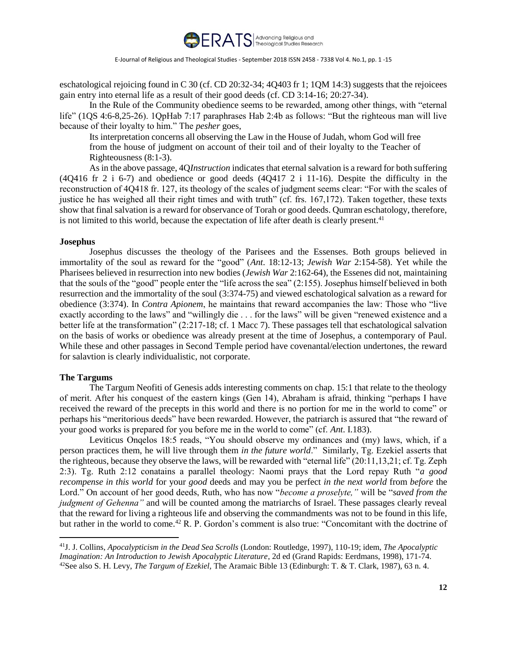

eschatological rejoicing found in C 30 (cf. CD 20:32-34; 4Q403 fr 1; 1QM 14:3) suggests that the rejoicees gain entry into eternal life as a result of their good deeds (cf. CD 3:14-16; 20:27-34).

In the Rule of the Community obedience seems to be rewarded, among other things, with "eternal life" (1QS 4:6-8,25-26). 1QpHab 7:17 paraphrases Hab 2:4b as follows: "But the righteous man will live because of their loyalty to him." The *pesher* goes,

Its interpretation concerns all observing the Law in the House of Judah, whom God will free from the house of judgment on account of their toil and of their loyalty to the Teacher of Righteousness (8:1-3).

As in the above passage, 4Q*Instruction* indicates that eternal salvation is a reward for both suffering (4Q416 fr 2 i 6-7) and obedience or good deeds (4Q417 2 i 11-16). Despite the difficulty in the reconstruction of 4Q418 fr. 127, its theology of the scales of judgment seems clear: "For with the scales of justice he has weighed all their right times and with truth" (cf. frs. 167,172). Taken together, these texts show that final salvation is a reward for observance of Torah or good deeds. Qumran eschatology, therefore, is not limited to this world, because the expectation of life after death is clearly present.<sup>41</sup>

# **Josephus**

Josephus discusses the theology of the Parisees and the Essenses. Both groups believed in immortality of the soul as reward for the "good" (*Ant*. 18:12-13; *Jewish War* 2:154-58). Yet while the Pharisees believed in resurrection into new bodies (*Jewish War* 2:162-64), the Essenes did not, maintaining that the souls of the "good" people enter the "life across the sea" (2:155). Josephus himself believed in both resurrection and the immortality of the soul (3:374-75) and viewed eschatological salvation as a reward for obedience (3:374). In *Contra Apionem*, he maintains that reward accompanies the law: Those who "live exactly according to the laws" and "willingly die . . . for the laws" will be given "renewed existence and a better life at the transformation" (2:217-18; cf. 1 Macc 7). These passages tell that eschatological salvation on the basis of works or obedience was already present at the time of Josephus, a contemporary of Paul. While these and other passages in Second Temple period have covenantal/election undertones, the reward for salavtion is clearly individualistic, not corporate.

# **The Targums**

 $\overline{a}$ 

The Targum Neofiti of Genesis adds interesting comments on chap. 15:1 that relate to the theology of merit. After his conquest of the eastern kings (Gen 14), Abraham is afraid, thinking "perhaps I have received the reward of the precepts in this world and there is no portion for me in the world to come" or perhaps his "meritorious deeds" have been rewarded. However, the patriarch is assured that "the reward of your good works is prepared for you before me in the world to come" (cf. *Ant*. I.183).

Leviticus Onqelos 18:5 reads, "You should observe my ordinances and (my) laws, which, if a person practices them, he will live through them *in the future world*." Similarly, Tg. Ezekiel asserts that the righteous, because they observe the laws, will be rewarded with "eternal life" (20:11,13,21; cf. Tg. Zeph 2:3). Tg. Ruth 2:12 conatains a parallel theology: Naomi prays that the Lord repay Ruth "*a good recompense in this world* for your *good* deeds and may you be perfect *in the next world* from *before* the Lord." On account of her good deeds, Ruth, who has now "*become a proselyte,"* will be "*saved from the judgment of Gehenna"* and will be counted among the matriarchs of Israel. These passages clearly reveal that the reward for living a righteous life and observing the commandments was not to be found in this life, but rather in the world to come.<sup>42</sup> R. P. Gordon's comment is also true: "Concomitant with the doctrine of

<sup>41</sup>J. J. Collins, *Apocalypticism in the Dead Sea Scrolls* (London: Routledge, 1997), 110-19; idem, *The Apocalyptic Imagination: An Introduction to Jewish Apocalyptic Literature*, 2d ed (Grand Rapids: Eerdmans, 1998), 171-74. <sup>42</sup>See also S. H. Levy, *The Targum of Ezekiel,* The Aramaic Bible 13 (Edinburgh: T. & T. Clark, 1987), 63 n. 4.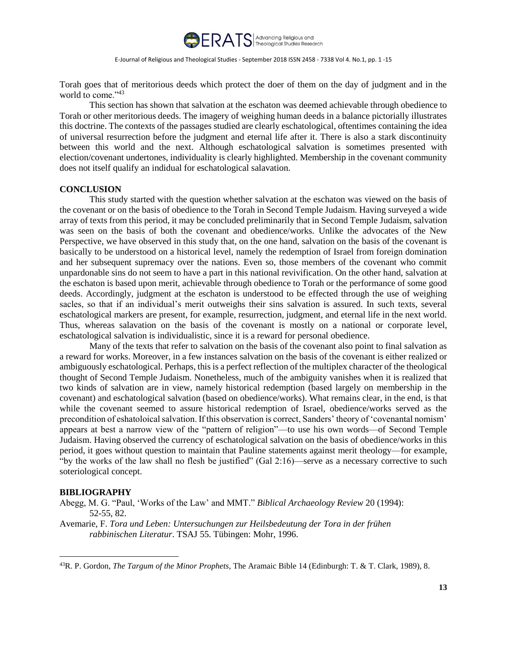

Torah goes that of meritorious deeds which protect the doer of them on the day of judgment and in the world to come."<sup>43</sup>

This section has shown that salvation at the eschaton was deemed achievable through obedience to Torah or other meritorious deeds. The imagery of weighing human deeds in a balance pictorially illustrates this doctrine. The contexts of the passages studied are clearly eschatological, oftentimes containing the idea of universal resurrection before the judgment and eternal life after it. There is also a stark discontinuity between this world and the next. Although eschatological salvation is sometimes presented with election/covenant undertones, individuality is clearly highlighted. Membership in the covenant community does not itself qualify an indidual for eschatological salavation.

# **CONCLUSION**

This study started with the question whether salvation at the eschaton was viewed on the basis of the covenant or on the basis of obedience to the Torah in Second Temple Judaism. Having surveyed a wide array of texts from this period, it may be concluded preliminarily that in Second Temple Judaism, salvation was seen on the basis of both the covenant and obedience/works. Unlike the advocates of the New Perspective, we have observed in this study that, on the one hand, salvation on the basis of the covenant is basically to be understood on a historical level, namely the redemption of Israel from foreign domination and her subsequent supremacy over the nations. Even so, those members of the covenant who commit unpardonable sins do not seem to have a part in this national revivification. On the other hand, salvation at the eschaton is based upon merit, achievable through obedience to Torah or the performance of some good deeds. Accordingly, judgment at the eschaton is understood to be effected through the use of weighing sacles, so that if an individual's merit outweighs their sins salvation is assured. In such texts, several eschatological markers are present, for example, resurrection, judgment, and eternal life in the next world. Thus, whereas salavation on the basis of the covenant is mostly on a national or corporate level, eschatological salvation is individualistic, since it is a reward for personal obedience.

Many of the texts that refer to salvation on the basis of the covenant also point to final salvation as a reward for works. Moreover, in a few instances salvation on the basis of the covenant is either realized or ambiguously eschatological. Perhaps, this is a perfect reflection of the multiplex character of the theological thought of Second Temple Judaism. Nonetheless, much of the ambiguity vanishes when it is realized that two kinds of salvation are in view, namely historical redemption (based largely on membership in the covenant) and eschatological salvation (based on obedience/works). What remains clear, in the end, is that while the covenant seemed to assure historical redemption of Israel, obedience/works served as the precondition of eshatoloical salvation. If this observation is correct, Sanders' theory of 'covenantal nomism' appears at best a narrow view of the "pattern of religion"—to use his own words—of Second Temple Judaism. Having observed the currency of eschatological salvation on the basis of obedience/works in this period, it goes without question to maintain that Pauline statements against merit theology—for example, "by the works of the law shall no flesh be justified" (Gal 2:16)—serve as a necessary corrective to such soteriological concept.

### **BIBLIOGRAPHY**

 $\overline{a}$ 

Abegg, M. G. "Paul, 'Works of the Law' and MMT." *Biblical Archaeology Review* 20 (1994): 52-55, 82.

Avemarie, F. *Tora und Leben: Untersuchungen zur Heilsbedeutung der Tora in der frühen rabbinischen Literatur*. TSAJ 55. Tübingen: Mohr, 1996.

<sup>43</sup>R. P. Gordon, *The Targum of the Minor Prophets*, The Aramaic Bible 14 (Edinburgh: T. & T. Clark, 1989), 8.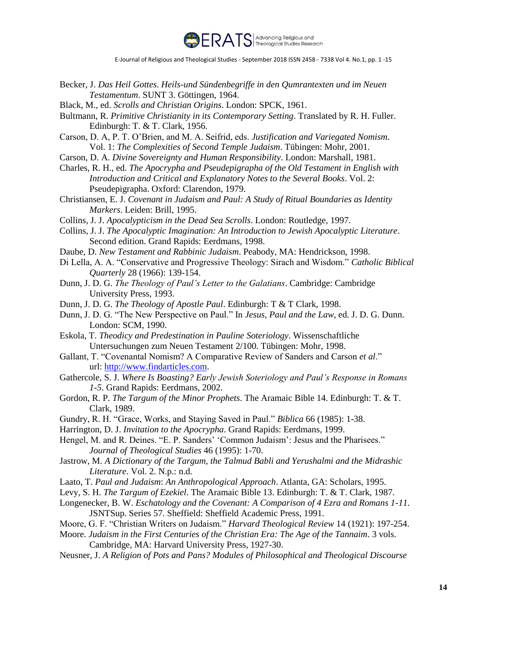

- Becker, J. *Das Heil Gottes. Heils-und Sündenbegriffe in den Qumrantexten und im Neuen Testamentum*. SUNT 3. Göttingen, 1964.
- Black, M., ed. *Scrolls and Christian Origins*. London: SPCK, 1961.
- Bultmann, R. *Primitive Christianity in its Contemporary Setting*. Translated by R. H. Fuller. Edinburgh: T. & T. Clark, 1956.
- Carson, D. A, P. T. O'Brien, and M. A. Seifrid, eds. *Justification and Variegated Nomism*. Vol. 1: *The Complexities of Second Temple Judaism*. Tübingen: Mohr, 2001.
- Carson, D. A. *Divine Sovereignty and Human Responsibility*. London: Marshall, 1981.
- Charles, R. H., ed. *The Apocrypha and Pseudepigrapha of the Old Testament in English with Introduction and Critical and Explanatory Notes to the Several Books*. Vol. 2: Pseudepigrapha. Oxford: Clarendon, 1979.
- Christiansen, E. J. *Covenant in Judaism and Paul: A Study of Ritual Boundaries as Identity Markers*. Leiden: Brill, 1995.
- Collins, J. J. *Apocalypticism in the Dead Sea Scrolls*. London: Routledge, 1997.
- Collins, J. J. *The Apocalyptic Imagination: An Introduction to Jewish Apocalyptic Literature*. Second edition. Grand Rapids: Eerdmans, 1998.
- Daube, D. *New Testament and Rabbinic Judaism*. Peabody, MA: Hendrickson, 1998.
- Di Lella, A. A. "Conservative and Progressive Theology: Sirach and Wisdom." *Catholic Biblical Quarterly* 28 (1966): 139-154.
- Dunn, J. D. G. *The Theology of Paul's Letter to the Galatians*. Cambridge: Cambridge University Press, 1993.
- Dunn, J. D. G. *The Theology of Apostle Paul*. Edinburgh: T & T Clark, 1998.
- Dunn, J. D. G. "The New Perspective on Paul." In *Jesus, Paul and the Law*, ed. J. D. G. Dunn. London: SCM, 1990.
- Eskola, T. *Theodicy and Predestination in Pauline Soteriology*. Wissenschaftliche Untersuchungen zum Neuen Testament 2/100. Tübingen: Mohr, 1998.
- Gallant, T. "Covenantal Nomism? A Comparative Review of Sanders and Carson *et al*." url: http://www.findarticles.com.
- Gathercole, S. J. *Where Is Boasting? Early Jewish Soteriology and Paul's Response in Romans 1-5*. Grand Rapids: Eerdmans, 2002.
- Gordon, R. P. *The Targum of the Minor Prophets*. The Aramaic Bible 14. Edinburgh: T. & T. Clark, 1989.
- Gundry, R. H. "Grace, Works, and Staying Saved in Paul." *Biblica* 66 (1985): 1-38.
- Harrington, D. J. *Invitation to the Apocrypha*. Grand Rapids: Eerdmans, 1999.
- Hengel, M. and R. Deines. "E. P. Sanders' 'Common Judaism': Jesus and the Pharisees." *Journal of Theological Studies* 46 (1995): 1-70.
- Jastrow, M. *A Dictionary of the Targum, the Talmud Babli and Yerushalmi and the Midrashic Literature*. Vol. 2. N.p.: n.d.
- Laato, T. *Paul and Judaism*: *An Anthropological Approach*. Atlanta, GA: Scholars, 1995.
- Levy, S. H. *The Targum of Ezekiel*. The Aramaic Bible 13. Edinburgh: T. & T. Clark, 1987.
- Longenecker, B. W. *Eschatology and the Covenant: A Comparison of 4 Ezra and Romans 1-11*. JSNTSup. Series 57. Sheffield: Sheffield Academic Press, 1991.
- Moore, G. F. "Christian Writers on Judaism." *Harvard Theological Review* 14 (1921): 197-254.
- Moore. *Judaism in the First Centuries of the Christian Era: The Age of the Tannaim*. 3 vols. Cambridge, MA: Harvard University Press, 1927-30.
- Neusner, J. *A Religion of Pots and Pans? Modules of Philosophical and Theological Discourse*